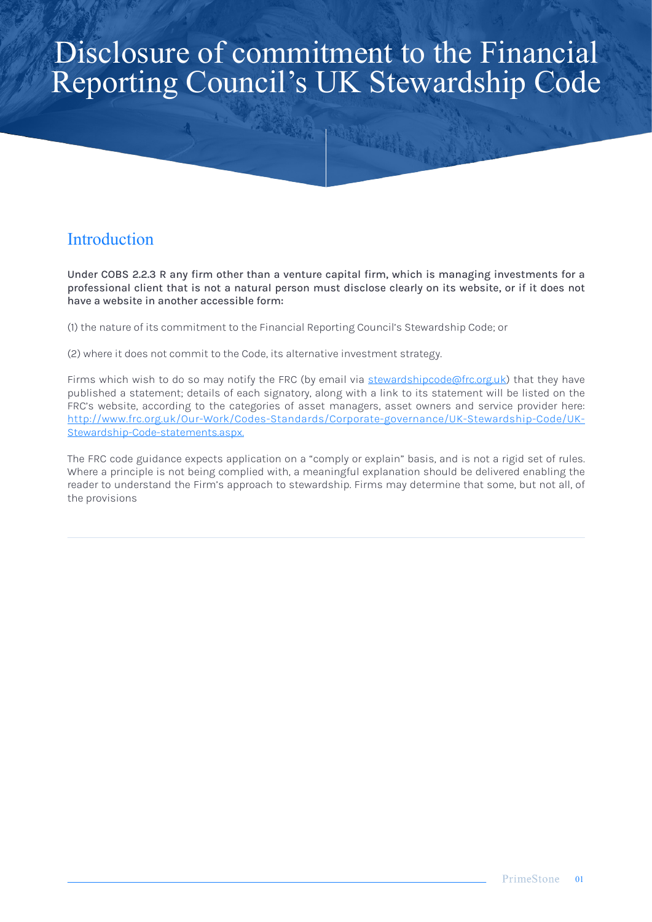# Disclosure of commitment to the Financial Reporting Council's UK Stewardship Code

城市

# **Introduction**

Under COBS 2.2.3 R any firm other than a venture capital firm, which is managing investments for a professional client that is not a natural person must disclose clearly on its website, or if it does not have a website in another accessible form:

(1) the nature of its commitment to the Financial Reporting Council's Stewardship Code; or

(2) where it does not commit to the Code, its alternative investment strategy.

Firms which wish to do so may notify the FRC (by email via [stewardshipcode@frc.org.uk](http://stewardshipcode@frc.org.uk)) that they have published a statement; details of each signatory, along with a link to its statement will be listed on the FRC's website, according to the categories of asset managers, asset owners and service provider here: [http://www.frc.org.uk/Our-Work/Codes-Standards/Corporate-governance/UK-Stewardship-Code/UK-](http://www.frc.org.uk/Our-Work/Codes-Standards/Corporate-governance/UK-Stewardship-Code/UK-Stewardsh)[Stewardship-Code-statements.aspx.](http://www.frc.org.uk/Our-Work/Codes-Standards/Corporate-governance/UK-Stewardship-Code/UK-Stewardsh)

The FRC code guidance expects application on a "comply or explain" basis, and is not a rigid set of rules. Where a principle is not being complied with, a meaningful explanation should be delivered enabling the reader to understand the Firm's approach to stewardship. Firms may determine that some, but not all, of the provisions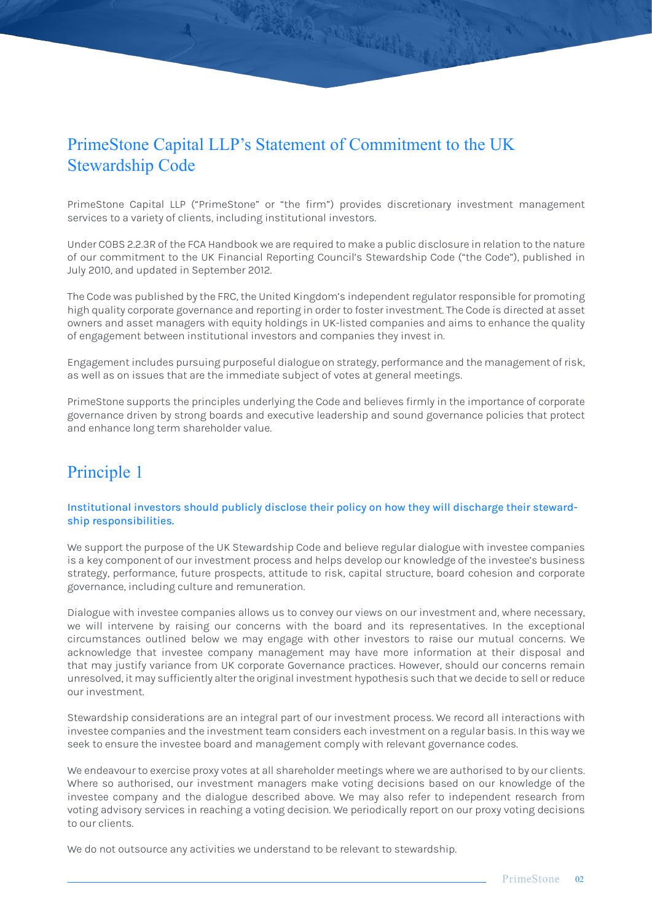# PrimeStone Capital LLP's Statement of Commitment to the UK Stewardship Code

TARKER MARINER

PrimeStone Capital LLP ("PrimeStone" or "the firm") provides discretionary investment management services to a variety of clients, including institutional investors.

Under COBS 2.2.3R of the FCA Handbook we are required to make a public disclosure in relation to the nature of our commitment to the UK Financial Reporting Council's Stewardship Code ("the Code"), published in July 2010, and updated in September 2012.

The Code was published by the FRC, the United Kingdom's independent regulator responsible for promoting high quality corporate governance and reporting in order to foster investment. The Code is directed at asset owners and asset managers with equity holdings in UK-listed companies and aims to enhance the quality of engagement between institutional investors and companies they invest in.

Engagement includes pursuing purposeful dialogue on strategy, performance and the management of risk, as well as on issues that are the immediate subject of votes at general meetings.

PrimeStone supports the principles underlying the Code and believes firmly in the importance of corporate governance driven by strong boards and executive leadership and sound governance policies that protect and enhance long term shareholder value.

# Principle 1

### Institutional investors should publicly disclose their policy on how they will discharge their stewardship responsibilities.

We support the purpose of the UK Stewardship Code and believe regular dialogue with investee companies is a key component of our investment process and helps develop our knowledge of the investee's business strategy, performance, future prospects, attitude to risk, capital structure, board cohesion and corporate governance, including culture and remuneration.

Dialogue with investee companies allows us to convey our views on our investment and, where necessary, we will intervene by raising our concerns with the board and its representatives. In the exceptional circumstances outlined below we may engage with other investors to raise our mutual concerns. We acknowledge that investee company management may have more information at their disposal and that may justify variance from UK corporate Governance practices. However, should our concerns remain unresolved, it may sufficiently alter the original investment hypothesis such that we decide to sell or reduce our investment.

Stewardship considerations are an integral part of our investment process. We record all interactions with investee companies and the investment team considers each investment on a regular basis. In this way we seek to ensure the investee board and management comply with relevant governance codes.

We endeavour to exercise proxy votes at all shareholder meetings where we are authorised to by our clients. Where so authorised, our investment managers make voting decisions based on our knowledge of the investee company and the dialogue described above. We may also refer to independent research from voting advisory services in reaching a voting decision. We periodically report on our proxy voting decisions to our clients.

We do not outsource any activities we understand to be relevant to stewardship.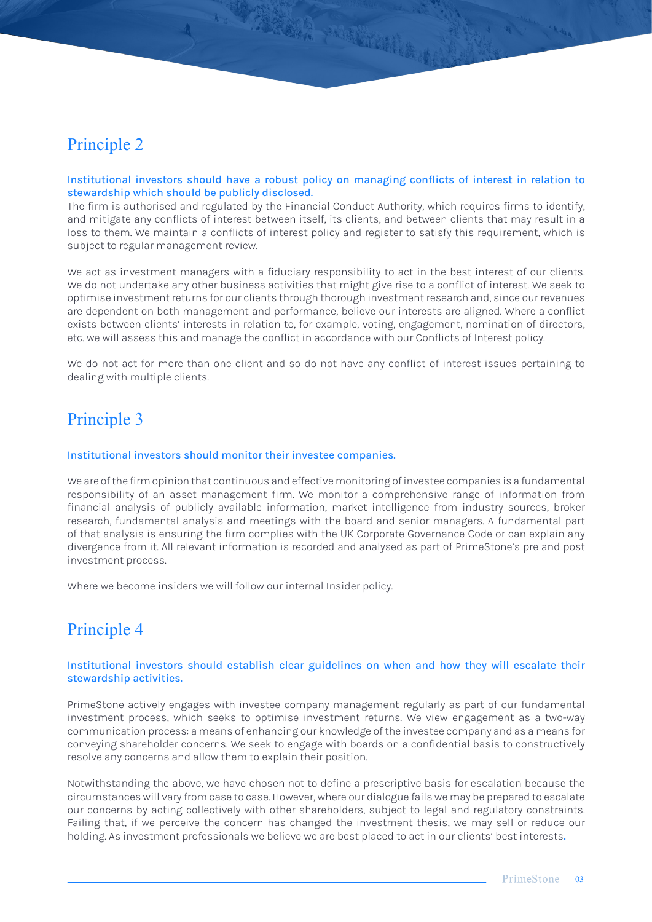### Principle 2

### Institutional investors should have a robust policy on managing conflicts of interest in relation to stewardship which should be publicly disclosed.

A PARKS MELBERGE

The firm is authorised and regulated by the Financial Conduct Authority, which requires firms to identify, and mitigate any conflicts of interest between itself, its clients, and between clients that may result in a loss to them. We maintain a conflicts of interest policy and register to satisfy this requirement, which is subject to regular management review.

We act as investment managers with a fiduciary responsibility to act in the best interest of our clients. We do not undertake any other business activities that might give rise to a conflict of interest. We seek to optimise investment returns for our clients through thorough investment research and, since our revenues are dependent on both management and performance, believe our interests are aligned. Where a conflict exists between clients' interests in relation to, for example, voting, engagement, nomination of directors, etc. we will assess this and manage the conflict in accordance with our Conflicts of Interest policy.

We do not act for more than one client and so do not have any conflict of interest issues pertaining to dealing with multiple clients.

# Principle 3

### Institutional investors should monitor their investee companies.

We are of the firm opinion that continuous and effective monitoring of investee companies is a fundamental responsibility of an asset management firm. We monitor a comprehensive range of information from financial analysis of publicly available information, market intelligence from industry sources, broker research, fundamental analysis and meetings with the board and senior managers. A fundamental part of that analysis is ensuring the firm complies with the UK Corporate Governance Code or can explain any divergence from it. All relevant information is recorded and analysed as part of PrimeStone's pre and post investment process.

Where we become insiders we will follow our internal Insider policy.

### Principle 4

### Institutional investors should establish clear guidelines on when and how they will escalate their stewardship activities.

PrimeStone actively engages with investee company management regularly as part of our fundamental investment process, which seeks to optimise investment returns. We view engagement as a two-way communication process: a means of enhancing our knowledge of the investee company and as a means for conveying shareholder concerns. We seek to engage with boards on a confidential basis to constructively resolve any concerns and allow them to explain their position.

Notwithstanding the above, we have chosen not to define a prescriptive basis for escalation because the circumstances will vary from case to case. However, where our dialogue fails we may be prepared to escalate our concerns by acting collectively with other shareholders, subject to legal and regulatory constraints. Failing that, if we perceive the concern has changed the investment thesis, we may sell or reduce our holding. As investment professionals we believe we are best placed to act in our clients' best interests.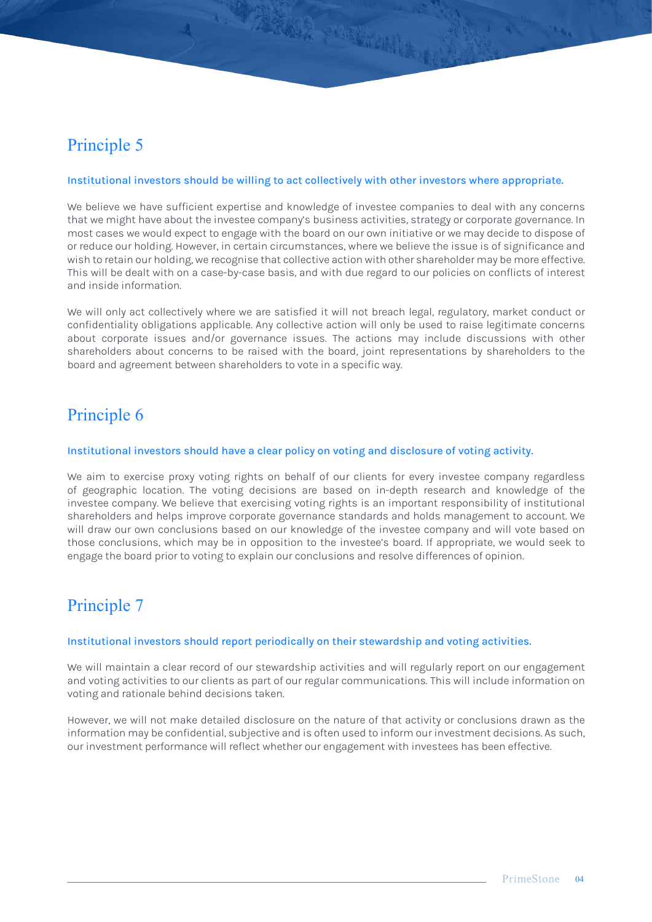# Principle 5

#### Institutional investors should be willing to act collectively with other investors where appropriate.

A TARAR PORTALLE

We believe we have sufficient expertise and knowledge of investee companies to deal with any concerns that we might have about the investee company's business activities, strategy or corporate governance. In most cases we would expect to engage with the board on our own initiative or we may decide to dispose of or reduce our holding. However, in certain circumstances, where we believe the issue is of significance and wish to retain our holding, we recognise that collective action with other shareholder may be more effective. This will be dealt with on a case-by-case basis, and with due regard to our policies on conflicts of interest and inside information.

We will only act collectively where we are satisfied it will not breach legal, regulatory, market conduct or confidentiality obligations applicable. Any collective action will only be used to raise legitimate concerns about corporate issues and/or governance issues. The actions may include discussions with other shareholders about concerns to be raised with the board, joint representations by shareholders to the board and agreement between shareholders to vote in a specific way.

# Principle 6

#### Institutional investors should have a clear policy on voting and disclosure of voting activity.

We aim to exercise proxy voting rights on behalf of our clients for every investee company regardless of geographic location. The voting decisions are based on in-depth research and knowledge of the investee company. We believe that exercising voting rights is an important responsibility of institutional shareholders and helps improve corporate governance standards and holds management to account. We will draw our own conclusions based on our knowledge of the investee company and will vote based on those conclusions, which may be in opposition to the investee's board. If appropriate, we would seek to engage the board prior to voting to explain our conclusions and resolve differences of opinion.

### Principle 7

### Institutional investors should report periodically on their stewardship and voting activities.

We will maintain a clear record of our stewardship activities and will regularly report on our engagement and voting activities to our clients as part of our regular communications. This will include information on voting and rationale behind decisions taken.

However, we will not make detailed disclosure on the nature of that activity or conclusions drawn as the information may be confidential, subjective and is often used to inform our investment decisions. As such, our investment performance will reflect whether our engagement with investees has been effective.